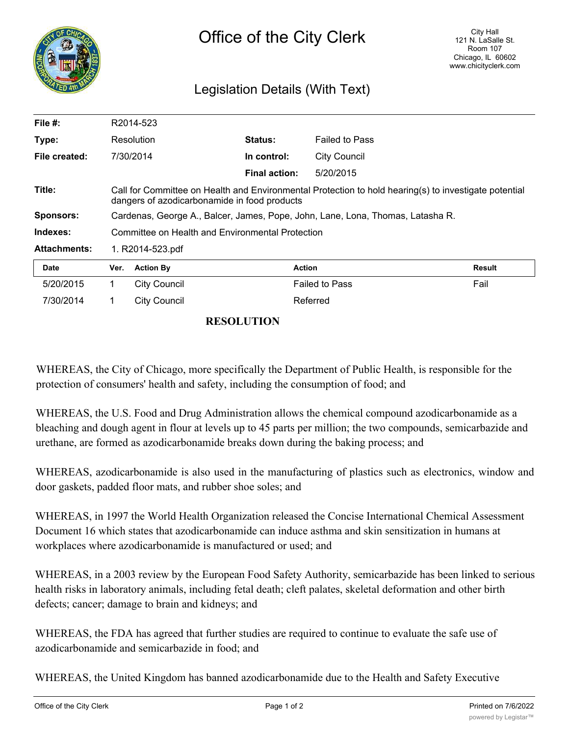

## Legislation Details (With Text)

| File $#$ :          | R2014-523                                                                                                                                             |                     |                      |                       |        |
|---------------------|-------------------------------------------------------------------------------------------------------------------------------------------------------|---------------------|----------------------|-----------------------|--------|
| Type:               |                                                                                                                                                       | Resolution          | <b>Status:</b>       | <b>Failed to Pass</b> |        |
| File created:       |                                                                                                                                                       | 7/30/2014           | In control:          | <b>City Council</b>   |        |
|                     |                                                                                                                                                       |                     | <b>Final action:</b> | 5/20/2015             |        |
| Title:              | Call for Committee on Health and Environmental Protection to hold hearing(s) to investigate potential<br>dangers of azodicarbonamide in food products |                     |                      |                       |        |
| <b>Sponsors:</b>    | Cardenas, George A., Balcer, James, Pope, John, Lane, Lona, Thomas, Latasha R.                                                                        |                     |                      |                       |        |
| Indexes:            | Committee on Health and Environmental Protection                                                                                                      |                     |                      |                       |        |
| <b>Attachments:</b> | 1. R2014-523.pdf                                                                                                                                      |                     |                      |                       |        |
| <b>Date</b>         | Ver.                                                                                                                                                  | <b>Action By</b>    | <b>Action</b>        |                       | Result |
| 5/20/2015           | 1.                                                                                                                                                    | City Council        |                      | <b>Failed to Pass</b> | Fail   |
| 7/30/2014           |                                                                                                                                                       | <b>City Council</b> |                      | Referred              |        |

## **RESOLUTION**

WHEREAS, the City of Chicago, more specifically the Department of Public Health, is responsible for the protection of consumers' health and safety, including the consumption of food; and

WHEREAS, the U.S. Food and Drug Administration allows the chemical compound azodicarbonamide as a bleaching and dough agent in flour at levels up to 45 parts per million; the two compounds, semicarbazide and urethane, are formed as azodicarbonamide breaks down during the baking process; and

WHEREAS, azodicarbonamide is also used in the manufacturing of plastics such as electronics, window and door gaskets, padded floor mats, and rubber shoe soles; and

WHEREAS, in 1997 the World Health Organization released the Concise International Chemical Assessment Document 16 which states that azodicarbonamide can induce asthma and skin sensitization in humans at workplaces where azodicarbonamide is manufactured or used; and

WHEREAS, in a 2003 review by the European Food Safety Authority, semicarbazide has been linked to serious health risks in laboratory animals, including fetal death; cleft palates, skeletal deformation and other birth defects; cancer; damage to brain and kidneys; and

WHEREAS, the FDA has agreed that further studies are required to continue to evaluate the safe use of azodicarbonamide and semicarbazide in food; and

WHEREAS, the United Kingdom has banned azodicarbonamide due to the Health and Safety Executive